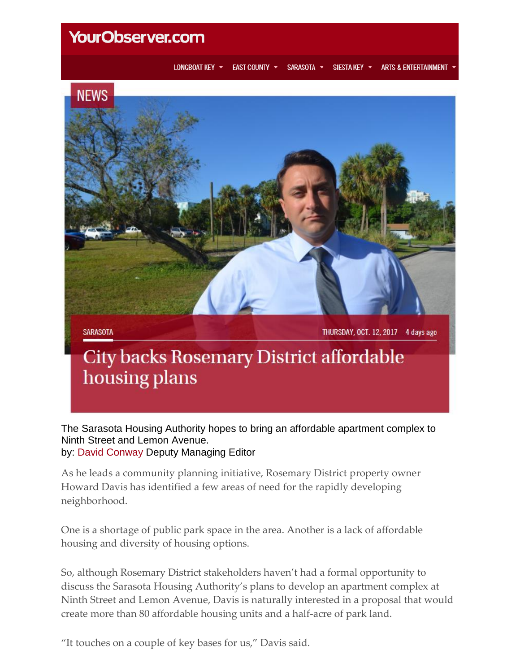## **YourObserver.com**

LONGBOAT KEY ▼ EAST COUNTY T SARASOTA T SIESTA KEY ▼ **ARTS & ENTERTAINMENT** 



The Sarasota Housing Authority hopes to bring an affordable apartment complex to Ninth Street and Lemon Avenue. by: [David Conway](https://www.yourobserver.com/articles/author/david-conway) Deputy Managing Editor

As he leads a community planning initiative, Rosemary District property owner Howard Davis has identified a few areas of need for the rapidly developing neighborhood.

One is a shortage of public park space in the area. Another is a lack of affordable housing and diversity of housing options.

So, although Rosemary District stakeholders haven't had a formal opportunity to discuss the Sarasota Housing Authority's plans to develop an apartment complex at Ninth Street and Lemon Avenue, Davis is naturally interested in a proposal that would create more than 80 affordable housing units and a half-acre of park land.

"It touches on a couple of key bases for us," Davis said.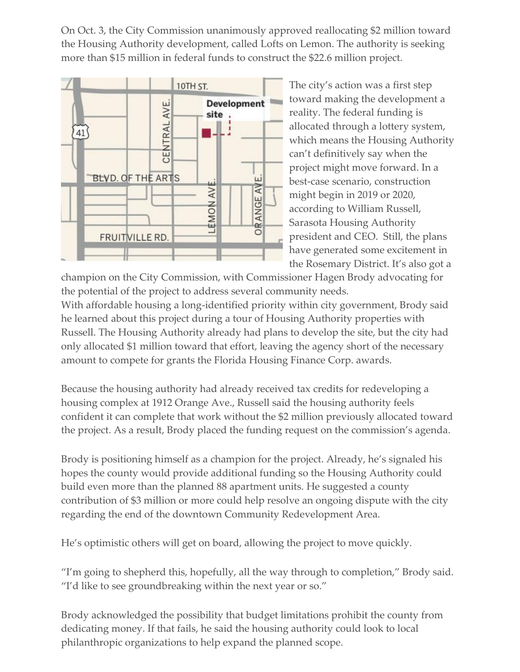On Oct. 3, the City Commission unanimously approved reallocating \$2 million toward the Housing Authority development, called Lofts on Lemon. The authority is seeking more than \$15 million in federal funds to construct the \$22.6 million project.



The city's action was a first step toward making the development a reality. The federal funding is allocated through a lottery system, which means the Housing Authority can't definitively say when the project might move forward. In a best-case scenario, construction might begin in 2019 or 2020, according to William Russell, Sarasota Housing Authority president and CEO. Still, the plans have generated some excitement in the Rosemary District. It's also got a

champion on the City Commission, with Commissioner Hagen Brody advocating for the potential of the project to address several community needs.

With affordable housing a long-identified priority within city government, Brody said he learned about this project during a tour of Housing Authority properties with Russell. The Housing Authority already had plans to develop the site, but the city had only allocated \$1 million toward that effort, leaving the agency short of the necessary amount to compete for grants the Florida Housing Finance Corp. awards.

Because the housing authority had already received tax credits for redeveloping a housing complex at 1912 Orange Ave., Russell said the housing authority feels confident it can complete that work without the \$2 million previously allocated toward the project. As a result, Brody placed the funding request on the commission's agenda.

Brody is positioning himself as a champion for the project. Already, he's signaled his hopes the county would provide additional funding so the Housing Authority could build even more than the planned 88 apartment units. He suggested a county contribution of \$3 million or more could help resolve an ongoing dispute with the city regarding the end of the downtown Community Redevelopment Area.

He's optimistic others will get on board, allowing the project to move quickly.

"I'm going to shepherd this, hopefully, all the way through to completion," Brody said. "I'd like to see groundbreaking within the next year or so."

Brody acknowledged the possibility that budget limitations prohibit the county from dedicating money. If that fails, he said the housing authority could look to local philanthropic organizations to help expand the planned scope.